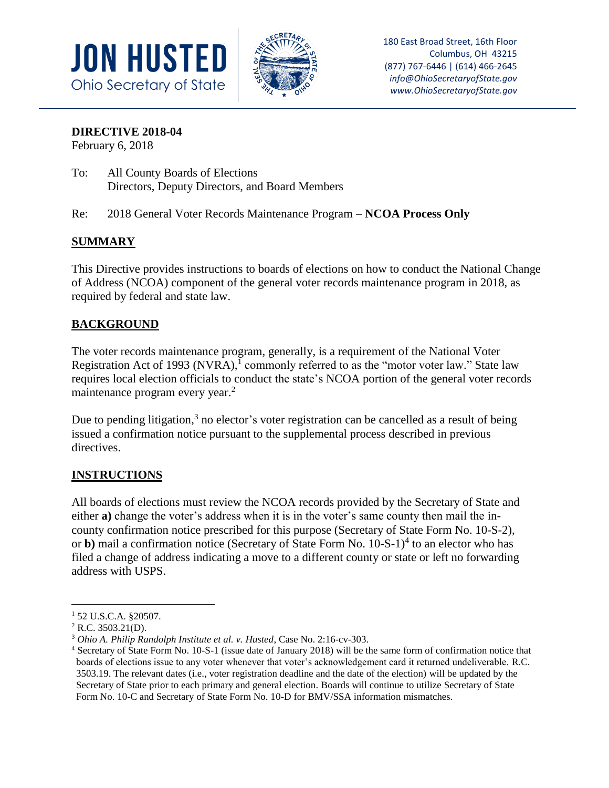



## **DIRECTIVE 2018-04**

February 6, 2018

- To: All County Boards of Elections Directors, Deputy Directors, and Board Members
- Re: 2018 General Voter Records Maintenance Program **NCOA Process Only**

# **SUMMARY**

This Directive provides instructions to boards of elections on how to conduct the National Change of Address (NCOA) component of the general voter records maintenance program in 2018, as required by federal and state law.

# **BACKGROUND**

The voter records maintenance program, generally, is a requirement of the National Voter Registration Act of 1993 (NVRA), $<sup>1</sup>$  commonly referred to as the "motor voter law." State law</sup> requires local election officials to conduct the state's NCOA portion of the general voter records maintenance program every year.<sup>2</sup>

Due to pending litigation, $3$  no elector's voter registration can be cancelled as a result of being issued a confirmation notice pursuant to the supplemental process described in previous directives.

## **INSTRUCTIONS**

All boards of elections must review the NCOA records provided by the Secretary of State and either **a)** change the voter's address when it is in the voter's same county then mail the incounty confirmation notice prescribed for this purpose (Secretary of State Form No. 10-S-2), or **b**) mail a confirmation notice (Secretary of State Form No. 10-S-1)<sup>4</sup> to an elector who has filed a change of address indicating a move to a different county or state or left no forwarding address with USPS.

a<br>B

<sup>1</sup> 52 U.S.C.A. §20507.

 $2$  R.C. 3503.21(D).

<sup>3</sup> *Ohio A. Philip Randolph Institute et al. v. Husted*, Case No. 2:16-cv-303.

<sup>4</sup> Secretary of State Form No. 10-S-1 (issue date of January 2018) will be the same form of confirmation notice that boards of elections issue to any voter whenever that voter's acknowledgement card it returned undeliverable. R.C. 3503.19. The relevant dates (i.e., voter registration deadline and the date of the election) will be updated by the Secretary of State prior to each primary and general election. Boards will continue to utilize Secretary of State Form No. 10-C and Secretary of State Form No. 10-D for BMV/SSA information mismatches.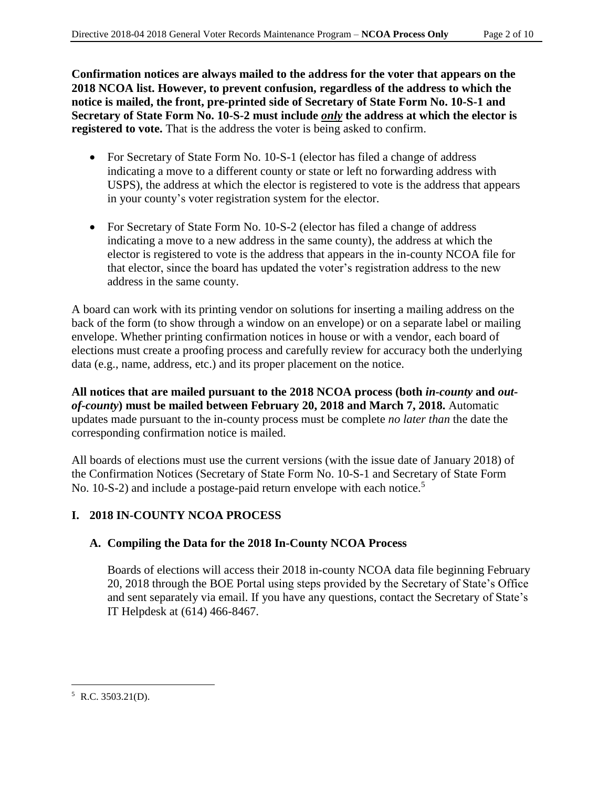**Confirmation notices are always mailed to the address for the voter that appears on the 2018 NCOA list. However, to prevent confusion, regardless of the address to which the notice is mailed, the front, pre-printed side of Secretary of State Form No. 10-S-1 and Secretary of State Form No. 10-S-2 must include** *only* **the address at which the elector is registered to vote.** That is the address the voter is being asked to confirm.

- For Secretary of State Form No. 10-S-1 (elector has filed a change of address indicating a move to a different county or state or left no forwarding address with USPS), the address at which the elector is registered to vote is the address that appears in your county's voter registration system for the elector.
- For Secretary of State Form No. 10-S-2 (elector has filed a change of address indicating a move to a new address in the same county), the address at which the elector is registered to vote is the address that appears in the in-county NCOA file for that elector, since the board has updated the voter's registration address to the new address in the same county.

A board can work with its printing vendor on solutions for inserting a mailing address on the back of the form (to show through a window on an envelope) or on a separate label or mailing envelope. Whether printing confirmation notices in house or with a vendor, each board of elections must create a proofing process and carefully review for accuracy both the underlying data (e.g., name, address, etc.) and its proper placement on the notice.

**All notices that are mailed pursuant to the 2018 NCOA process (both** *in-county* **and** *outof-county***) must be mailed between February 20, 2018 and March 7, 2018.** Automatic updates made pursuant to the in-county process must be complete *no later than* the date the corresponding confirmation notice is mailed.

All boards of elections must use the current versions (with the issue date of January 2018) of the Confirmation Notices (Secretary of State Form No. 10-S-1 and Secretary of State Form No. 10-S-2) and include a postage-paid return envelope with each notice.<sup>5</sup>

## **I. 2018 IN-COUNTY NCOA PROCESS**

## **A. Compiling the Data for the 2018 In-County NCOA Process**

Boards of elections will access their 2018 in-county NCOA data file beginning February 20, 2018 through the BOE Portal using steps provided by the Secretary of State's Office and sent separately via email. If you have any questions, contact the Secretary of State's IT Helpdesk at (614) 466-8467.

a<br>B

 $5$  R.C. 3503.21(D).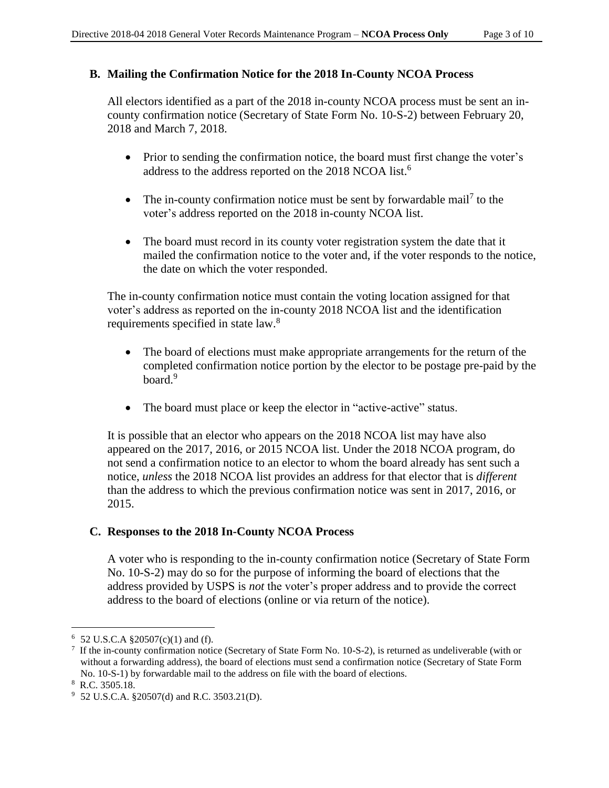#### **B. Mailing the Confirmation Notice for the 2018 In-County NCOA Process**

All electors identified as a part of the 2018 in-county NCOA process must be sent an incounty confirmation notice (Secretary of State Form No. 10-S-2) between February 20, 2018 and March 7, 2018.

- Prior to sending the confirmation notice, the board must first change the voter's address to the address reported on the 2018 NCOA list.<sup>6</sup>
- The in-county confirmation notice must be sent by forwardable mail<sup>7</sup> to the voter's address reported on the 2018 in-county NCOA list.
- The board must record in its county voter registration system the date that it mailed the confirmation notice to the voter and, if the voter responds to the notice, the date on which the voter responded.

The in-county confirmation notice must contain the voting location assigned for that voter's address as reported on the in-county 2018 NCOA list and the identification requirements specified in state law.<sup>8</sup>

- The board of elections must make appropriate arrangements for the return of the completed confirmation notice portion by the elector to be postage pre-paid by the board.<sup>9</sup>
- The board must place or keep the elector in "active-active" status.

It is possible that an elector who appears on the 2018 NCOA list may have also appeared on the 2017, 2016, or 2015 NCOA list. Under the 2018 NCOA program, do not send a confirmation notice to an elector to whom the board already has sent such a notice, *unless* the 2018 NCOA list provides an address for that elector that is *different* than the address to which the previous confirmation notice was sent in 2017, 2016, or 2015.

## **C. Responses to the 2018 In-County NCOA Process**

A voter who is responding to the in-county confirmation notice (Secretary of State Form No. 10-S-2) may do so for the purpose of informing the board of elections that the address provided by USPS is *not* the voter's proper address and to provide the correct address to the board of elections (online or via return of the notice).

a<br>B

 $6$  52 U.S.C.A §20507(c)(1) and (f).

<sup>&</sup>lt;sup>7</sup> If the in-county confirmation notice (Secretary of State Form No. 10-S-2), is returned as undeliverable (with or without a forwarding address), the board of elections must send a confirmation notice (Secretary of State Form No. 10-S-1) by forwardable mail to the address on file with the board of elections.

<sup>8</sup> R.C. 3505.18.

 $9\,$  52 U.S.C.A. §20507(d) and R.C. 3503.21(D).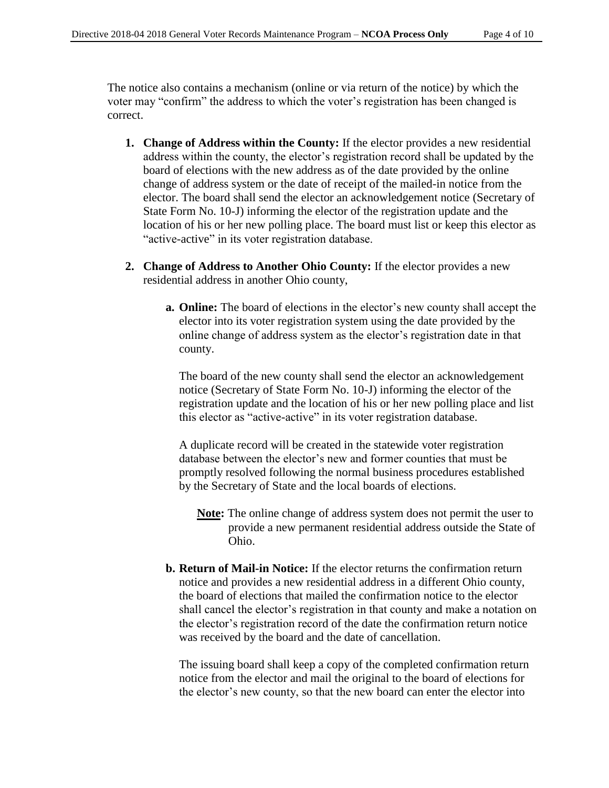The notice also contains a mechanism (online or via return of the notice) by which the voter may "confirm" the address to which the voter's registration has been changed is correct.

- **1. Change of Address within the County:** If the elector provides a new residential address within the county, the elector's registration record shall be updated by the board of elections with the new address as of the date provided by the online change of address system or the date of receipt of the mailed-in notice from the elector. The board shall send the elector an acknowledgement notice (Secretary of State Form No. 10-J) informing the elector of the registration update and the location of his or her new polling place. The board must list or keep this elector as "active-active" in its voter registration database.
- **2. Change of Address to Another Ohio County:** If the elector provides a new residential address in another Ohio county,
	- **a. Online:** The board of elections in the elector's new county shall accept the elector into its voter registration system using the date provided by the online change of address system as the elector's registration date in that county.

The board of the new county shall send the elector an acknowledgement notice (Secretary of State Form No. 10-J) informing the elector of the registration update and the location of his or her new polling place and list this elector as "active-active" in its voter registration database.

A duplicate record will be created in the statewide voter registration database between the elector's new and former counties that must be promptly resolved following the normal business procedures established by the Secretary of State and the local boards of elections.

- **Note:** The online change of address system does not permit the user to provide a new permanent residential address outside the State of Ohio.
- **b. Return of Mail-in Notice:** If the elector returns the confirmation return notice and provides a new residential address in a different Ohio county, the board of elections that mailed the confirmation notice to the elector shall cancel the elector's registration in that county and make a notation on the elector's registration record of the date the confirmation return notice was received by the board and the date of cancellation.

The issuing board shall keep a copy of the completed confirmation return notice from the elector and mail the original to the board of elections for the elector's new county, so that the new board can enter the elector into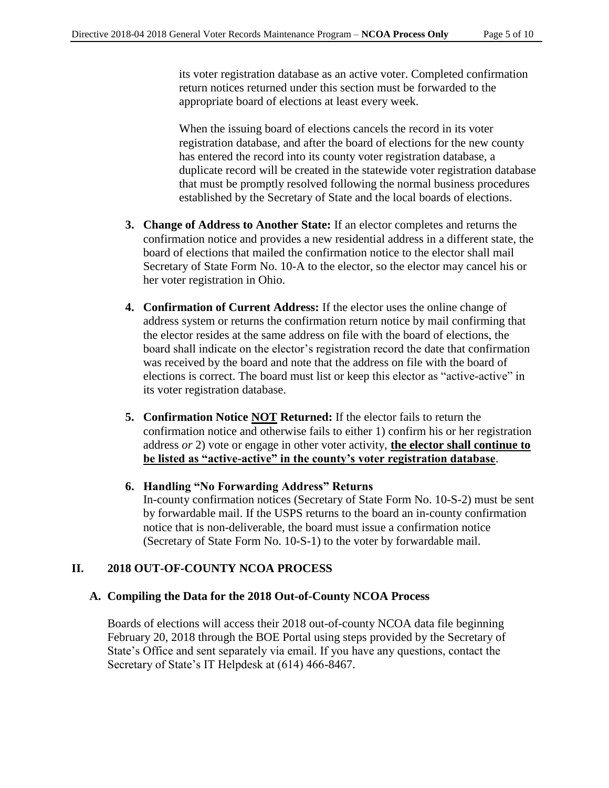its voter registration database as an active voter. Completed confirmation return notices returned under this section must be forwarded to the appropriate board of elections at least every week.

When the issuing board of elections cancels the record in its voter registration database, and after the board of elections for the new county has entered the record into its county voter registration database, a duplicate record will be created in the statewide voter registration database that must be promptly resolved following the normal business procedures established by the Secretary of State and the local boards of elections.

- **3. Change of Address to Another State:** If an elector completes and returns the confirmation notice and provides a new residential address in a different state, the board of elections that mailed the confirmation notice to the elector shall mail Secretary of State Form No. 10-A to the elector, so the elector may cancel his or her voter registration in Ohio.
- **4. Confirmation of Current Address:** If the elector uses the online change of address system or returns the confirmation return notice by mail confirming that the elector resides at the same address on file with the board of elections, the board shall indicate on the elector's registration record the date that confirmation was received by the board and note that the address on file with the board of elections is correct. The board must list or keep this elector as "active-active" in its voter registration database.
- **5. Confirmation Notice NOT Returned:** If the elector fails to return the confirmation notice and otherwise fails to either 1) confirm his or her registration address *or* 2) vote or engage in other voter activity, **the elector shall continue to be listed as "active-active" in the county's voter registration database**.
- **6. Handling "No Forwarding Address" Returns** In-county confirmation notices (Secretary of State Form No. 10-S-2) must be sent by forwardable mail. If the USPS returns to the board an in-county confirmation notice that is non-deliverable, the board must issue a confirmation notice (Secretary of State Form No. 10-S-1) to the voter by forwardable mail.

## **II. 2018 OUT-OF-COUNTY NCOA PROCESS**

#### **A. Compiling the Data for the 2018 Out-of-County NCOA Process**

Boards of elections will access their 2018 out-of-county NCOA data file beginning February 20, 2018 through the BOE Portal using steps provided by the Secretary of State's Office and sent separately via email. If you have any questions, contact the Secretary of State's IT Helpdesk at (614) 466-8467.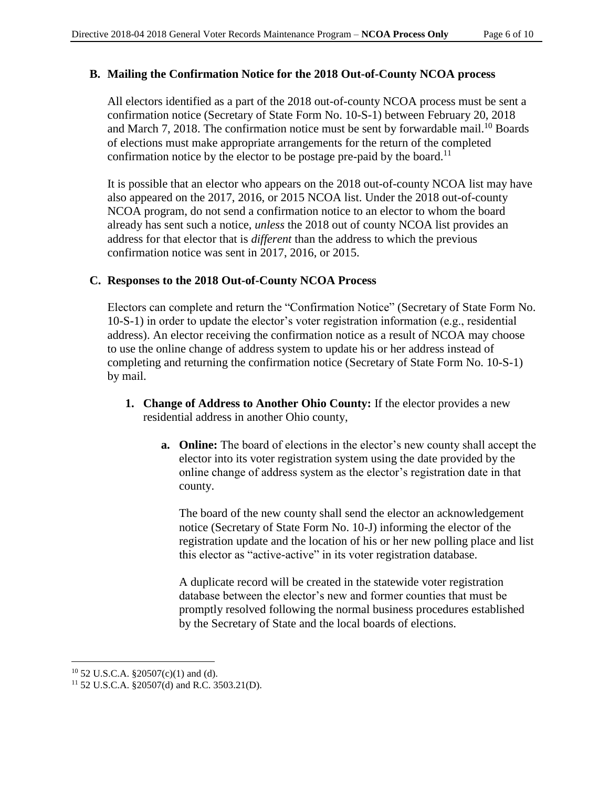#### **B. Mailing the Confirmation Notice for the 2018 Out-of-County NCOA process**

All electors identified as a part of the 2018 out-of-county NCOA process must be sent a confirmation notice (Secretary of State Form No. 10-S-1) between February 20, 2018 and March 7, 2018. The confirmation notice must be sent by forwardable mail.<sup>10</sup> Boards of elections must make appropriate arrangements for the return of the completed confirmation notice by the elector to be postage pre-paid by the board.<sup>11</sup>

It is possible that an elector who appears on the 2018 out-of-county NCOA list may have also appeared on the 2017, 2016, or 2015 NCOA list. Under the 2018 out-of-county NCOA program, do not send a confirmation notice to an elector to whom the board already has sent such a notice, *unless* the 2018 out of county NCOA list provides an address for that elector that is *different* than the address to which the previous confirmation notice was sent in 2017, 2016, or 2015.

#### **C. Responses to the 2018 Out-of-County NCOA Process**

Electors can complete and return the "Confirmation Notice" (Secretary of State Form No. 10-S-1) in order to update the elector's voter registration information (e.g., residential address). An elector receiving the confirmation notice as a result of NCOA may choose to use the online change of address system to update his or her address instead of completing and returning the confirmation notice (Secretary of State Form No. 10-S-1) by mail.

- **1. Change of Address to Another Ohio County:** If the elector provides a new residential address in another Ohio county,
	- **a. Online:** The board of elections in the elector's new county shall accept the elector into its voter registration system using the date provided by the online change of address system as the elector's registration date in that county.

The board of the new county shall send the elector an acknowledgement notice (Secretary of State Form No. 10-J) informing the elector of the registration update and the location of his or her new polling place and list this elector as "active-active" in its voter registration database.

A duplicate record will be created in the statewide voter registration database between the elector's new and former counties that must be promptly resolved following the normal business procedures established by the Secretary of State and the local boards of elections.

L,

<sup>10</sup> 52 U.S.C.A. §20507(c)(1) and (d).

<sup>11</sup> 52 U.S.C.A. §20507(d) and R.C. 3503.21(D).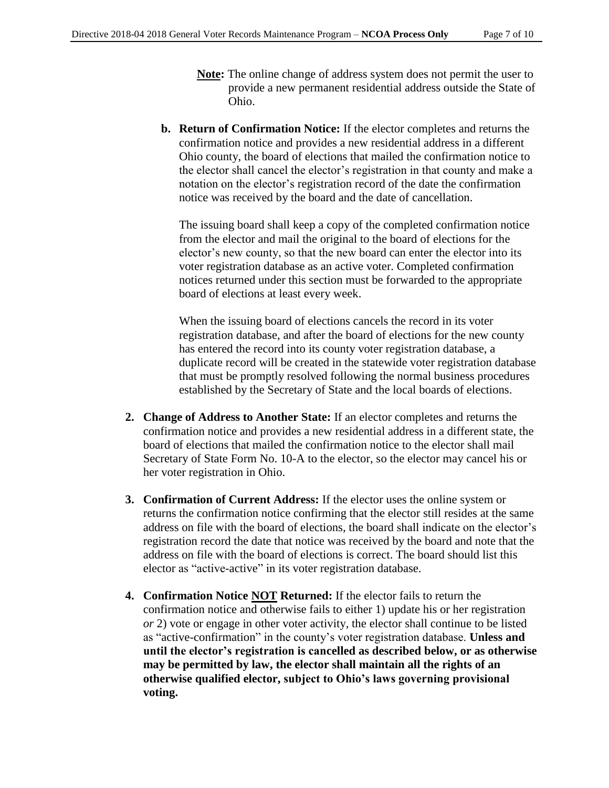- **Note:** The online change of address system does not permit the user to provide a new permanent residential address outside the State of Ohio.
- **b. Return of Confirmation Notice:** If the elector completes and returns the confirmation notice and provides a new residential address in a different Ohio county, the board of elections that mailed the confirmation notice to the elector shall cancel the elector's registration in that county and make a notation on the elector's registration record of the date the confirmation notice was received by the board and the date of cancellation.

The issuing board shall keep a copy of the completed confirmation notice from the elector and mail the original to the board of elections for the elector's new county, so that the new board can enter the elector into its voter registration database as an active voter. Completed confirmation notices returned under this section must be forwarded to the appropriate board of elections at least every week.

When the issuing board of elections cancels the record in its voter registration database, and after the board of elections for the new county has entered the record into its county voter registration database, a duplicate record will be created in the statewide voter registration database that must be promptly resolved following the normal business procedures established by the Secretary of State and the local boards of elections.

- **2. Change of Address to Another State:** If an elector completes and returns the confirmation notice and provides a new residential address in a different state, the board of elections that mailed the confirmation notice to the elector shall mail Secretary of State Form No. 10-A to the elector, so the elector may cancel his or her voter registration in Ohio.
- **3. Confirmation of Current Address:** If the elector uses the online system or returns the confirmation notice confirming that the elector still resides at the same address on file with the board of elections, the board shall indicate on the elector's registration record the date that notice was received by the board and note that the address on file with the board of elections is correct. The board should list this elector as "active-active" in its voter registration database.
- **4. Confirmation Notice NOT Returned:** If the elector fails to return the confirmation notice and otherwise fails to either 1) update his or her registration *or* 2) vote or engage in other voter activity, the elector shall continue to be listed as "active-confirmation" in the county's voter registration database. **Unless and until the elector's registration is cancelled as described below, or as otherwise may be permitted by law, the elector shall maintain all the rights of an otherwise qualified elector, subject to Ohio's laws governing provisional voting.**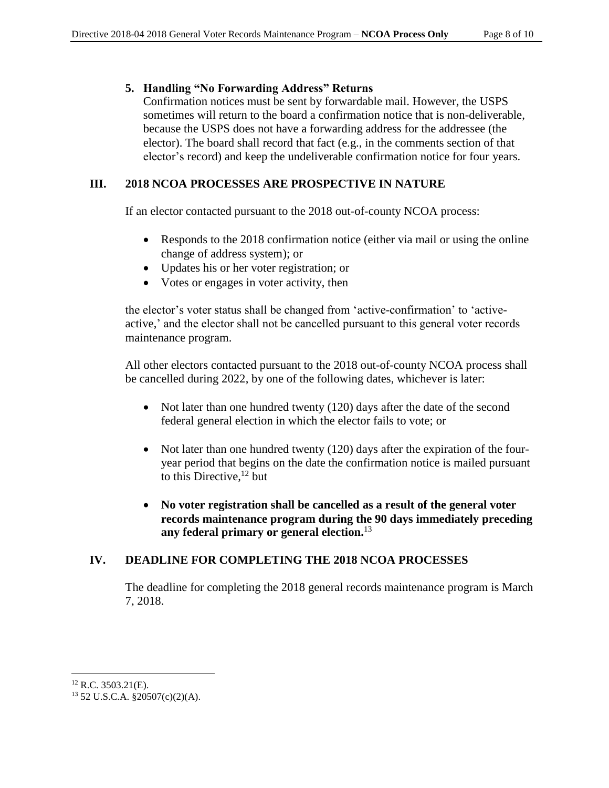### **5. Handling "No Forwarding Address" Returns**

Confirmation notices must be sent by forwardable mail. However, the USPS sometimes will return to the board a confirmation notice that is non-deliverable, because the USPS does not have a forwarding address for the addressee (the elector). The board shall record that fact (e.g., in the comments section of that elector's record) and keep the undeliverable confirmation notice for four years.

## **III. 2018 NCOA PROCESSES ARE PROSPECTIVE IN NATURE**

If an elector contacted pursuant to the 2018 out-of-county NCOA process:

- Responds to the 2018 confirmation notice (either via mail or using the online change of address system); or
- Updates his or her voter registration; or
- Votes or engages in voter activity, then

the elector's voter status shall be changed from 'active-confirmation' to 'activeactive,' and the elector shall not be cancelled pursuant to this general voter records maintenance program.

All other electors contacted pursuant to the 2018 out-of-county NCOA process shall be cancelled during 2022, by one of the following dates, whichever is later:

- Not later than one hundred twenty (120) days after the date of the second federal general election in which the elector fails to vote; or
- Not later than one hundred twenty (120) days after the expiration of the fouryear period that begins on the date the confirmation notice is mailed pursuant to this Directive,<sup>12</sup> but
- **No voter registration shall be cancelled as a result of the general voter records maintenance program during the 90 days immediately preceding any federal primary or general election.** 13

## **IV. DEADLINE FOR COMPLETING THE 2018 NCOA PROCESSES**

The deadline for completing the 2018 general records maintenance program is March 7, 2018.

a<br>B  $12$  R.C. 3503.21(E).

<sup>13</sup> 52 U.S.C.A. §20507(c)(2)(A).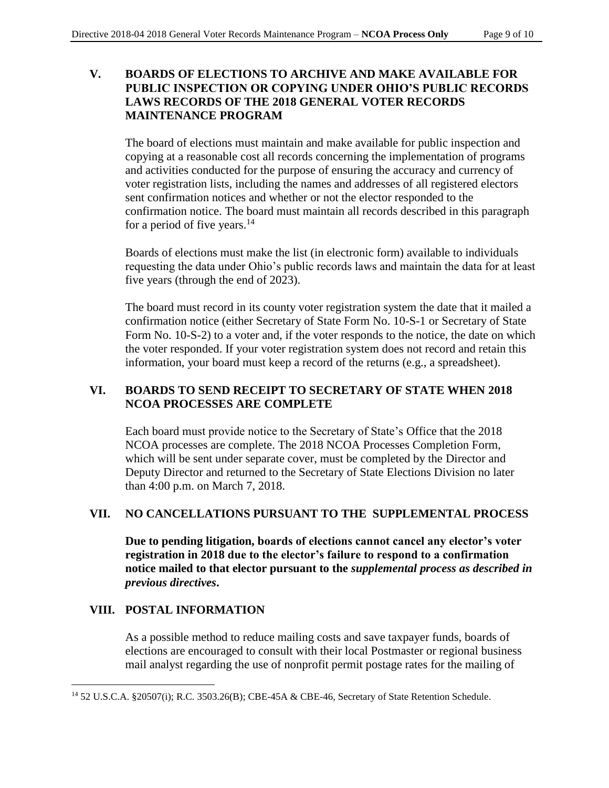### **V. BOARDS OF ELECTIONS TO ARCHIVE AND MAKE AVAILABLE FOR PUBLIC INSPECTION OR COPYING UNDER OHIO'S PUBLIC RECORDS LAWS RECORDS OF THE 2018 GENERAL VOTER RECORDS MAINTENANCE PROGRAM**

The board of elections must maintain and make available for public inspection and copying at a reasonable cost all records concerning the implementation of programs and activities conducted for the purpose of ensuring the accuracy and currency of voter registration lists, including the names and addresses of all registered electors sent confirmation notices and whether or not the elector responded to the confirmation notice. The board must maintain all records described in this paragraph for a period of five years. $14$ 

Boards of elections must make the list (in electronic form) available to individuals requesting the data under Ohio's public records laws and maintain the data for at least five years (through the end of 2023).

The board must record in its county voter registration system the date that it mailed a confirmation notice (either Secretary of State Form No. 10-S-1 or Secretary of State Form No. 10-S-2) to a voter and, if the voter responds to the notice, the date on which the voter responded. If your voter registration system does not record and retain this information, your board must keep a record of the returns (e.g., a spreadsheet).

## **VI. BOARDS TO SEND RECEIPT TO SECRETARY OF STATE WHEN 2018 NCOA PROCESSES ARE COMPLETE**

Each board must provide notice to the Secretary of State's Office that the 2018 NCOA processes are complete. The 2018 NCOA Processes Completion Form, which will be sent under separate cover, must be completed by the Director and Deputy Director and returned to the Secretary of State Elections Division no later than 4:00 p.m. on March 7, 2018.

## **VII. NO CANCELLATIONS PURSUANT TO THE SUPPLEMENTAL PROCESS**

**Due to pending litigation, boards of elections cannot cancel any elector's voter registration in 2018 due to the elector's failure to respond to a confirmation notice mailed to that elector pursuant to the** *supplemental process as described in previous directives***.**

## **VIII. POSTAL INFORMATION**

a<br>B

As a possible method to reduce mailing costs and save taxpayer funds, boards of elections are encouraged to consult with their local Postmaster or regional business mail analyst regarding the use of nonprofit permit postage rates for the mailing of

<sup>14</sup> 52 U.S.C.A. §20507(i); R.C. 3503.26(B); CBE-45A & CBE-46, Secretary of State Retention Schedule.